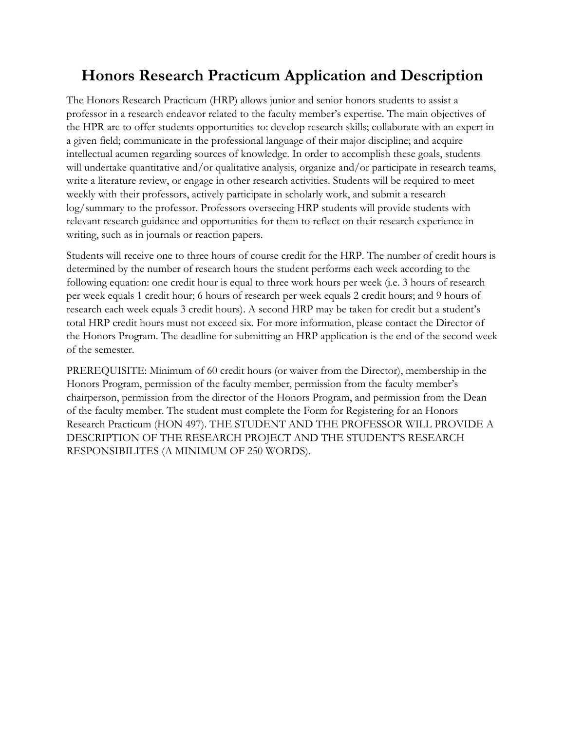## **Honors Research Practicum Application and Description**

The Honors Research Practicum (HRP) allows junior and senior honors students to assist a professor in a research endeavor related to the faculty member's expertise. The main objectives of the HPR are to offer students opportunities to: develop research skills; collaborate with an expert in a given field; communicate in the professional language of their major discipline; and acquire intellectual acumen regarding sources of knowledge. In order to accomplish these goals, students will undertake quantitative and/or qualitative analysis, organize and/or participate in research teams, write a literature review, or engage in other research activities. Students will be required to meet weekly with their professors, actively participate in scholarly work, and submit a research log/summary to the professor. Professors overseeing HRP students will provide students with relevant research guidance and opportunities for them to reflect on their research experience in writing, such as in journals or reaction papers.

Students will receive one to three hours of course credit for the HRP. The number of credit hours is determined by the number of research hours the student performs each week according to the following equation: one credit hour is equal to three work hours per week (i.e. 3 hours of research per week equals 1 credit hour; 6 hours of research per week equals 2 credit hours; and 9 hours of research each week equals 3 credit hours). A second HRP may be taken for credit but a student's total HRP credit hours must not exceed six. For more information, please contact the Director of the Honors Program. The deadline for submitting an HRP application is the end of the second week of the semester.

PREREQUISITE: Minimum of 60 credit hours (or waiver from the Director), membership in the Honors Program, permission of the faculty member, permission from the faculty member's chairperson, permission from the director of the Honors Program, and permission from the Dean of the faculty member. The student must complete the Form for Registering for an Honors Research Practicum (HON 497). THE STUDENT AND THE PROFESSOR WILL PROVIDE A DESCRIPTION OF THE RESEARCH PROJECT AND THE STUDENT'S RESEARCH RESPONSIBILITES (A MINIMUM OF 250 WORDS).